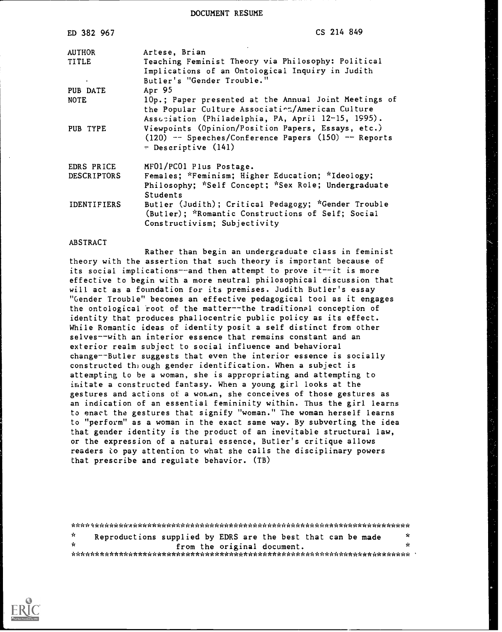DOCUMENT RESUME

| ED 382 967                          | CS 214 849                                                                                                                                            |
|-------------------------------------|-------------------------------------------------------------------------------------------------------------------------------------------------------|
| <b>AUTHOR</b><br>TITLE<br>$\bullet$ | Artese, Brian<br>Teaching Feminist Theory via Philosophy: Political<br>Implications of an Ontological Inquiry in Judith<br>Butler's "Gender Trouble." |
| PUB DATE<br><b>NOTE</b>             | Apr 95<br>10p.; Paper presented at the Annual Joint Meetings of                                                                                       |
|                                     | the Popular Culture Association/American Culture<br>Association (Philadelphia, PA, April 12-15, 1995).                                                |
| PUB TYPE                            | Viewpoints (Opinion/Position Papers, Essays, etc.)<br>$(120)$ -- Speeches/Conference Papers $(150)$ -- Reports<br>- Descriptive (141)                 |
| EDRS PRICE                          | MF01/PC01 Plus Postage.                                                                                                                               |
| <b>DESCRIPTORS</b>                  | Females; *Feminism; Higher Education; *Ideology;<br>Philosophy; *Self Concept; *Sex Role; Undergraduate<br><b>Students</b>                            |
| <b>IDENTIFIERS</b>                  | Butler (Judith); Critical Pedagogy; "Gender Trouble<br>(Butler); *Romantic Constructions of Self; Social<br>Constructivism; Subjectivity              |

## ABSTRACT

Rather than begin an undergraduate class in feminist theory with the assertion that such theory is important because of its social implications--and then attempt to prove it--it is more effective to begin with a more neutral philosophical discussion that will act as a foundation for its premises. Judith Butler's essay "Gender Trouble" becomes an effective pedagogical tool as it engages the ontological root of the matter--the traditional conception of identity that produces phallocentric public policy as its effect. While Romantic ideas of identity posit a self distinct from other selves--with an interior essence that remains constant and an exterior realm subject to social influence and behavioral change--Butler suggests that even the interior essence is socially constructed the ough gender identification. When a subject is attempting to be a woman, she is appropriating and attempting to imitate a constructed fantasy. When a young girl looks at the gestures and actions of a woman, she conceives of those gestures as an indication of an essential femininity within. Thus the girl learns to enact the gestures that signify "woman." The woman herself learns to "perform" as a woman in the exact same way. By subverting the idea that gender identity is the product of an inevitable structural law, or the expression of a natural essence, Butler's critique allows readers to pay attention to what she calls the disciplinary powers that prescribe and regulate behavior. (TB)

\*\*\*\*\*\*\*\*\*\*\*\*.A\*\*\*\*\*\*\*\*\*\*\*\*\*\*\*\*\*\*\*\*\*\*\*\*\*\*\*\*\*\*\*\*\*\*\*\*\*\*\*\*\*\*\*\*\*\*\*\*\*\*\*\*\*\*\*\*\*\*  $\mathbf{r}$ Reproductions supplied by EDRS are the best that can be made \* from the original document. \* \*\*\*\*\*\*\*\*\*\*\*\*\*\*\*\*\*\*\*\*\*\*\*\*\*\*\*\*\*\*\*\*\*\*\*\*\*\*\*\*\*\*\*\*\*\*\*\*\*\*\*\*\*\*\*\*\*\*\*\*\*\*\*\*\*\*\*\*\*\*\*

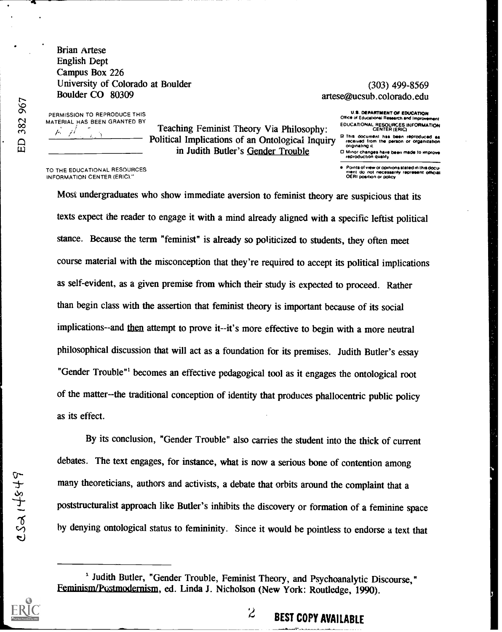Brian Artese English Dept Campus Box 226 University of Colorado at Boulder Boulder CO 80309

## (303) 499-8569 artese@ucsub.colorado.edu

Office of Educational Res

PERMISSION TO REPRODUCE THIS MATERIAL HAS BEEN GRANTED BY L. 41

Teaching Feminist Theory Via Philosophy: Political Implications of an Ontological Inquiry in Judith Butler's Gender Trouble

TO THE EDUCATIONAL RESOURCES INFORMATION CENTER (ERIC).

**O Minor changes have been made to improve**<br>reproduction quality Points of view or opinions stated in this docu-<br>ment, do inot, necessarily represent, official Tent do not necessarily rapre

U.S. DEPARTMENT OF EDUCATION

EDUCATIONAL RESOURCES INFORMATION CENTER (ERIC) 2 This document has been reproduced as received Horn the person or otganiration Oraonatong

Most undergraduates who show immediate aversion to feminist theory are suspicious that its texts expect the reader to engage it with a mind already aligned with a specific leftist political stance. Because the term "feminist" is already so politicized to students, they often meet course material with the misconception that they're required to accept its political implications as self-evident, as a given premise from which their study is expected to proceed. Rather than begin class with the assertion that feminist theory is important because of its social implications--and then attempt to prove it--it's more effective to begin with a more neutral philosophical discussion that will act as a foundation for its premises. Judith Butler's essay "Gender Trouble"' becomes an effective pedagogical tool as it engages the ontological root of the matter--the traditional conception of identity that produces phallocentric public policy as its effect.

By its conclusion, "Gender Trouble" also carries the student into the thick of current debates. The text engages, for instance, what is now a serious bone of contention among many theoreticians, authors and activists, a debate that orbits around the complaint that a poststructuralist approach like Butler's inhibits the discovery or formation of a feminine space by denying ontological status to femininity. Since it would be pointless to endorse a text that

 $\overline{\phantom{a}}$ 

<sup>&</sup>lt;sup>1</sup> Judith Butler, "Gender Trouble, Feminist Theory, and Psychoanalytic Discourse," Feminism/Postmodernism, ed. Linda J. Nicholson (New York: Routledge, 1990).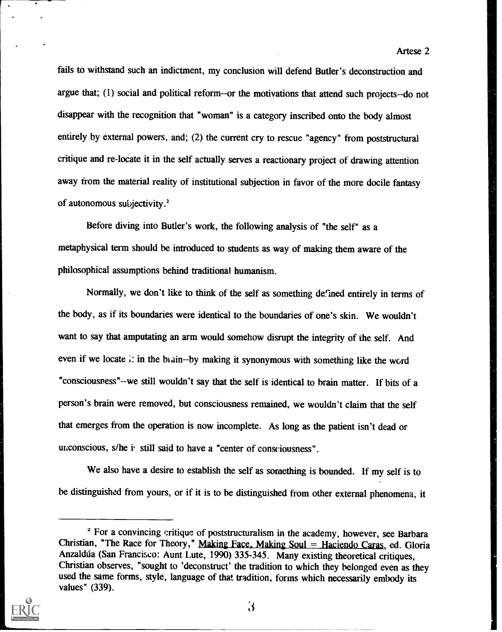fails to withstand such an indictment, my conclusion will defend Butler's deconstruction and argue that; (1) social and political reform--or the motivations that attend such projects--do not disappear with the recognition that "woman" is a category inscribed onto the body almost entirely by external powers, and; (2) the current cry to rescue "agency" from poststructural critique and re-locate it in the self actually serves a reactionary project of drawing attention away from the material reality of institutional subjection in favor of the more docile fantasy of autonomous subjectivity.'

Artese 2

Before diving into Butler's work, the following analysis of "the self" as a metaphysical term should be introduced to students as way of making them aware of the philosophical assumptions behind traditional humanism.

Normally, we don't like to think of the self as something defined entirely in terms of the body, as if its boundaries were identical to the boundaries of one's skin. We wouldn't want to say that amputating an arm would somehow disrupt the integrity of the self. And even if we locate it in the brain--by making it synonymous with something like the word "consciousness"--we still wouldn't say that the self is identical to brain matter. If bits of a person's brain were removed, but consciousness remained, we wouldn't claim that the self that emerges from the operation is now incomplete. As long as the patient isn't dead or unconscious, s/he i. still said to have a "center of consciousness".

We also have a desire to establish the self as something is bounded. If my self is to be distinguished from yours, or if it is to be distinguished from other external phenomena, it

<sup>&</sup>lt;sup>2</sup> For a convincing critique of poststructuralism in the academy, however, see Barbara Christian, "The Race for Theory," Making Face, Making Soul = Haciendo Caras, ed. Gloria Anzaldúa (San Francisco: Aunt Lute, 1990) 335-345. Many existing theoretical critiques, Christian observes, "sought to 'deconstruct' the tradition to which they belonged even as they used the same forms, style, language of that tradition, forms which necessarily embody its values" (339).



 $\mathbf{3}$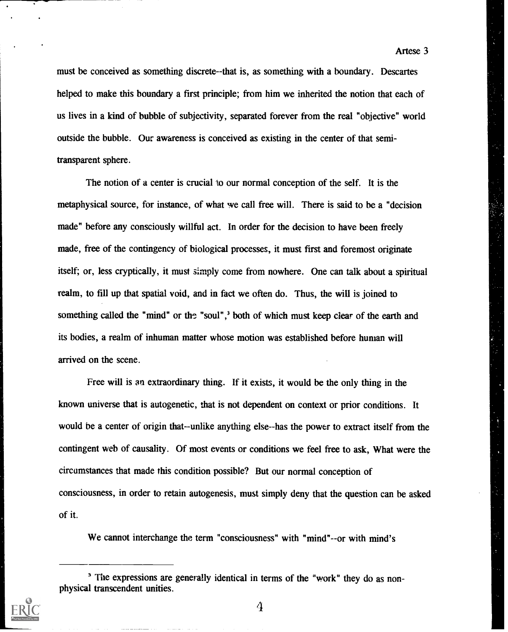must be conceived as something discrete--that is, as something with a boundary. Descartes helped to make this boundary a first principle; from him we inherited the notion that each of us lives in a kind of bubble of subjectivity, separated forever from the real "objective" world outside the bubble. Our awareness is conceived as existing in the center of that semitransparent sphere.

The notion of a center is crucial to our normal conception of the self. It is the metaphysical source, for instance, of what we call free will. There is said to be a "decision made" before any consciously willful act. In order for the decision to have been freely made, free of the contingency of biological processes, it must first and foremost originate itself; or, less cryptically, it must simply come from nowhere. One can talk about a spiritual realm, to fill up that spatial void, and in fact we often do. Thus, the will is joined to something called the "mind" or the "soul",<sup>3</sup> both of which must keep clear of the earth and its bodies, a realm of inhuman matter whose motion was established before human will arrived on the scene.

Free will is an extraordinary thing. If it exists, it would be the only thing in the known universe that is autogenetic, that is not dependent on context or prior conditions. It would be a center of origin that--unlike anything else--has the power to extract itself from the contingent web of causality. Of most events or conditions we feel free to ask, What were the circumstances that made this condition possible? But our normal conception of consciousness, in order to retain autogenesis, must simply deny that the question can be asked of it.

We cannot interchange the term "consciousness" with "mind"--or with mind's

<sup>&</sup>lt;sup>3</sup> The expressions are generally identical in terms of the "work" they do as nonphysical transcendent unities.



4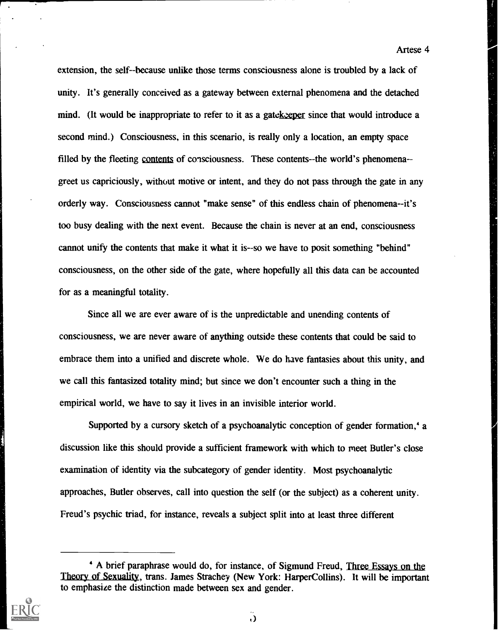extension, the self--because unlike those terms consciousness alone is troubled by a lack of unity. It's generally conceived as a gateway between external phenomena and the detached mind. (It would be inappropriate to refer to it as a gate keeper since that would introduce a second mind.) Consciousness, in this scenario, is really only a location, an empty space filled by the fleeting contents of consciousness. These contents--the world's phenomena - greet us capriciously, without motive or intent, and they do not pass through the gate in any orderly way. Consciousness cannot "make sense" of this endless chain of phenomena--it's too busy dealing with the next event. Because the chain is never at an end, consciousness cannot unify the contents that make it what it is--so we have to posit something "behind" consciousness, on the other side of the gate, where hopefully all this data can be accounted for as a meaningful totality.

Since all we are ever aware of is the unpredictable and unending contents of consciousness, we are never aware of anything outside these contents that could be said to embrace them into a unified and discrete whole. We do have fantasies about this unity, and we call this fantasized totality mind; but since we don't encounter such a thing in the empirical world, we have to say it lives in an invisible interior world.

Supported by a cursory sketch of a psychoanalytic conception of gender formation,' a discussion like this should provide a sufficient framework with which to meet Butler's close examination of identity via the subcategory of gender identity. Most psychoanalytic approaches, Butler observes, call into question the self (or the subject) as a coherent unity. Freud's psychic triad, for instance, reveals a subject split into at least three different

A brief paraphrase would do, for instance, of Sigmund Freud, Three Essays on the Theory of Sexuality, trans. James Strachey (New York: HarperCollins). It will be important to emphasize the distinction made between sex and gender.



 $\cdot$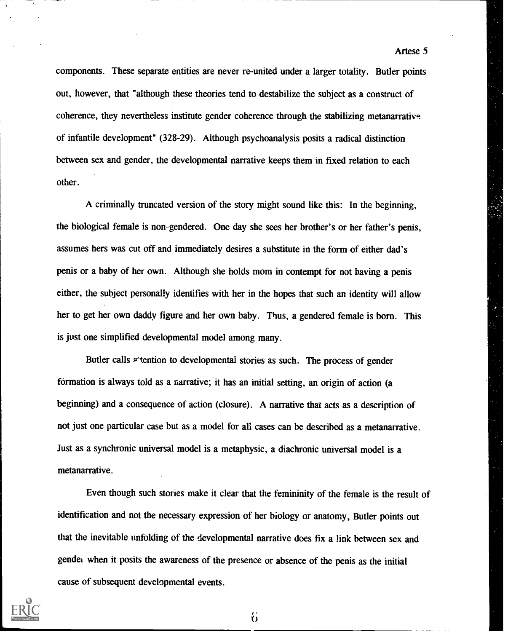components. These separate entities are never re-united under a larger totality. Butler points out, however, that "although these theories tend to destabilize the subject as a construct of coherence, they nevertheless institute gender coherence through the stabilizing metanarrative of infantile development" (328-29). Although psychoanalysis posits a radical distinction between sex and gender, the developmental narrative keeps them in fixed relation to each other.

A criminally truncated version of the story might sound like this: In the beginning, the biological female is non-gendered. One day she sees her brother's or her father's penis, assumes hers was cut off and immediately desires a substitute in the form of either dad's penis or a baby of her own. Although she holds mom in contempt for not having a penis either, the subject personally identifies with her in the hopes that such an identity will allow her to get her own daddy figure and her own baby. Thus, a gendered female is born. This is just one simplified developmental model among many.

Butler calls <sup>2</sup>'tention to developmental stories as such. The process of gender formation is always told as a narrative; it has an initial setting, an origin of action (a beginning) and a consequence of action (closure). A narrative that acts as a description of not just one particular case but as a model for all cases can be described as a metanarrative. Just as a synchronic universal model is a metaphysic, a diachronic universal model is a metanarrative.

Even though such stories make it clear that the femininity of the female is the result of identification and not the necessary expression of her biology or anatomy, Butler points out that the inevitable unfolding of the developmental narrative does fix a link between sex and gender when it posits the awareness of the presence or absence of the penis as the initial cause of subsequent developmental events.



Artese 5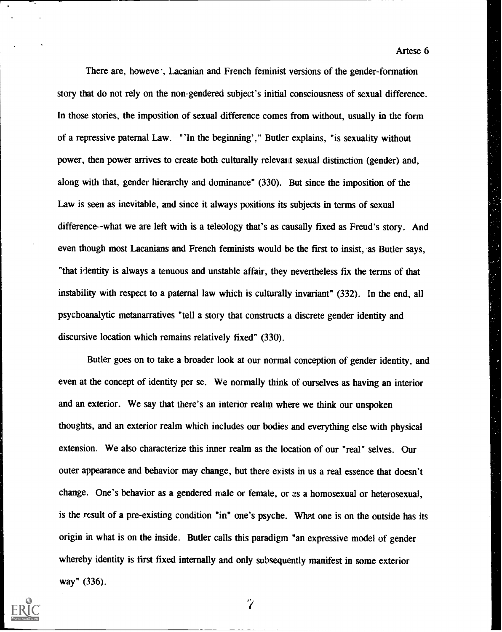There are, howeve ; Lacanian and French feminist versions of the gender-formation story that do not rely on the non-gendered subject's initial consciousness of sexual difference. In those stories, the imposition of sexual difference comes from without, usually in the form of a repressive paternal Law. "'In the beginning'," Butler explains, "is sexuality without power, then power arrives to create both culturally relevant sexual distinction (gender) and, along with that, gender hierarchy and dominance" (330). But since the imposition of the Law is seen as inevitable, and since it always positions its subjects in terms of sexual difference--what we are left with is a teleology that's as causally fixed as Freud's story. And even though most Lacanians and French feminists would be the first to insist, as Butler says, "that identity is always a tenuous and unstable affair, they nevertheless fix the terms of that instability with respect to a paternal law which is culturally invariant" (332). In the end, all psychoanalytic metanarratives "tell a story that constructs a discrete gender identity and discursive location which remains relatively fixed" (330).

Butler goes on to take a broader look at our normal conception of gender identity, and even at the concept of identity per se. We normally think of ourselves as having an interior and an exterior. We say that there's an interior realm where we think our unspoken thoughts, and an exterior realm which includes our bodies and everything else with physical extension. We also characterize this inner realm as the location of our "real" selves. Our outer appearance and behavior may change, but there exists in us a real essence that doesn't change. One's behavior as a gendered male or female, or  $\infty$  a homosexual or heterosexual, is the result of a pre-existing condition "in" one's psyche. What one is on the outside has its origin in what is on the inside. Butler calls this paradigm "an expressive model of gender whereby identity is first fixed internally and only subsequently manifest in some exterior way" (336).

 $\overline{7}$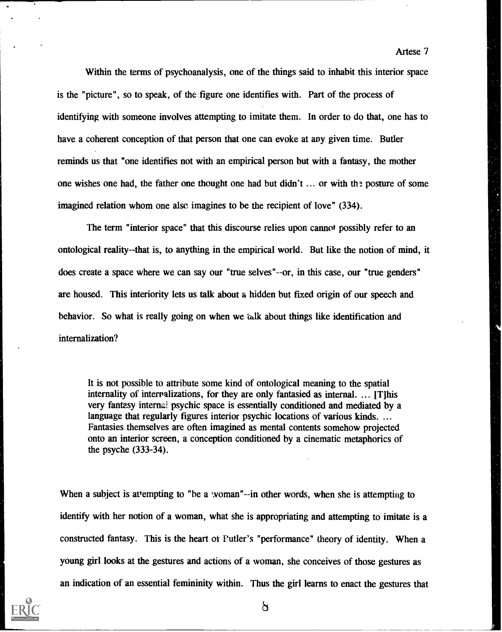Within the terms of psychoanalysis, one of the things said to inhabit this interior space is the "picture", so to speak, of the figure one identifies with. Part of the process of identifying with someone involves attempting to imitate them. In order to do that, one has to have a coherent conception of that person that one can evoke at any given time. Butler reminds us that "one identifies not with an empirical person but with a fantasy, the mother one wishes one had, the father one thought one had but didn't ... or with the posture of some imagined relation whom one also imagines to be the recipient of love" (334).

The term "interior space" that this discourse relies upon cannot possibly refer to an ontological reality- -that is, to anything in the empirical world. But like the notion of mind, it does create a space where we can say our "true selves"--or, in this case, our "true genders" are housed. This interiority lets us talk about a hidden but fixed origin of our speech and behavior. So what is really going on when we talk about things like identification and internalization?

It is not possible to attribute some kind of ontological meaning to the spatial internality of interralizations, for they are only fantasied as internal. ... [T]his very fantasy internal psychic space is essentially conditioned and mediated by a language that regularly figures interior psychic locations of various kinds. ... Fantasies themselves are often imagined as mental contents somehow projected onto an interior screen, a conception conditioned by a cinematic metaphorics of the psyche (333-34).

When a subject is attempting to "be a woman"--in other words, when she is attempting to identify with her notion of a woman, what she is appropriating and attempting to imitate is a constructed fantasy. This is the heart of Putler's "performance" theory of identity. When a young girl looks at the gestures and actions of a woman, she conceives of those gestures as an indication of an essential femininity within. Thus the girl learns to enact the gestures that



Artese 7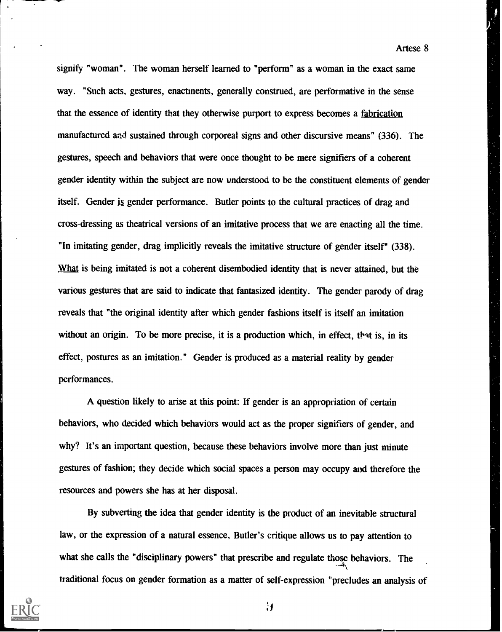signify "woman". The woman herself learned to "perform" as a woman in the exact same way. "Such acts, gestures, enactments, generally construed, are performative in the sense that the essence of identity that they otherwise purport to express becomes a fabrication manufactured and sustained through corporeal signs and other discursive means" (336). The gestures, speech and behaviors that were once thought to be mere signifiers of a coherent gender identity within the subject are now understood to be the constituent elements of gender itself. Gender js gender performance. Butler points to the cultural practices of drag and cross-dressing as theatrical versions of an imitative process that we are enacting all the time. "In imitating gender, drag implicitly reveals the imitative structure of gender itself" (338). What is being imitated is not a coherent disembodied identity that is never attained, but the various gestures that are said to indicate that fantasized identity. The gender parody of drag reveals that "the original identity after which gender fashions itself is itself an imitation without an origin. To be more precise, it is a production which, in effect, that is, in its effect, postures as an imitation." Gender is produced as a material reality by gender performances.

A question likely to arise at this point: If gender is an appropriation of certain behaviors, who decided which behaviors would act as the proper signifiers of gender, and why? It's an important question, because these behaviors involve more than just minute gestures of fashion; they decide which social spaces a person may occupy and therefore the resources and powers she has at her disposal.

By subverting the idea that gender identity is the product of an inevitable structural law, or the expression of a natural essence, Butler's critique allows us to pay attention to what she calls the "disciplinary powers" that prescribe and regulate those behaviors. The traditional focus on gender formation as a matter of self-expression "precludes an analysis of



 $\mathbf{\mathcal{L}}$